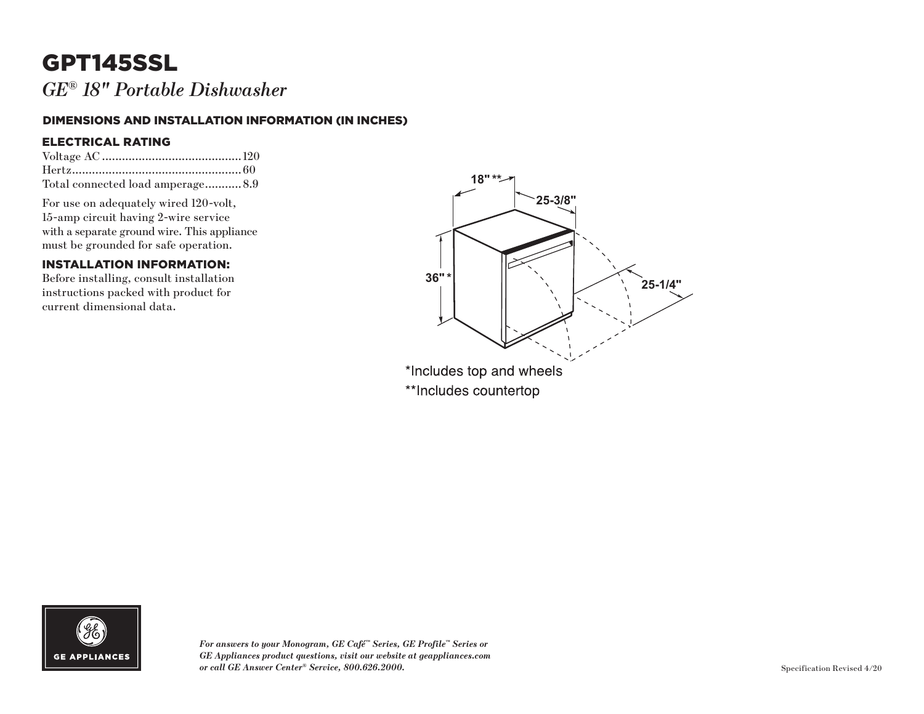# GPT145SSL

*GE ® 18" Portable Dishwasher*

#### DIMENSIONS AND INSTALLATION INFORMATION (IN INCHES)

#### ELECTRICAL RATING

| Total connected load amperage 8.9 |  |
|-----------------------------------|--|

For use on adequately wired 120-volt, 15-amp circuit having 2-wire service with a separate ground wire. This appliance must be grounded for safe operation.

### INSTALLATION INFORMATION:

Before installing, consult installation instructions packed with product for current dimensional data.